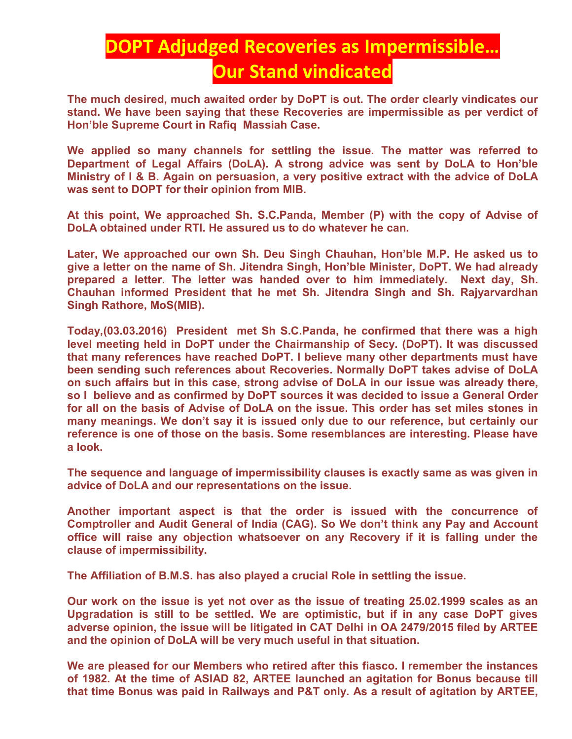## **DOPT Adjudged Recoveries as Impermissible… Our Stand vindicated**

**The much desired, much awaited order by DoPT is out. The order clearly vindicates our stand. We have been saying that these Recoveries are impermissible as per verdict of Hon'ble Supreme Court in Rafiq Massiah Case.** 

**We applied so many channels for settling the issue. The matter was referred to Department of Legal Affairs (DoLA). A strong advice was sent by DoLA to Hon'ble Ministry of I & B. Again on persuasion, a very positive extract with the advice of DoLA was sent to DOPT for their opinion from MIB.** 

**At this point, We approached Sh. S.C.Panda, Member (P) with the copy of Advise of DoLA obtained under RTI. He assured us to do whatever he can.** 

**Later, We approached our own Sh. Deu Singh Chauhan, Hon'ble M.P. He asked us to give a letter on the name of Sh. Jitendra Singh, Hon'ble Minister, DoPT. We had already prepared a letter. The letter was handed over to him immediately. Next day, Sh. Chauhan informed President that he met Sh. Jitendra Singh and Sh. Rajyarvardhan Singh Rathore, MoS(MIB).** 

**Today,(03.03.2016) President met Sh S.C.Panda, he confirmed that there was a high level meeting held in DoPT under the Chairmanship of Secy. (DoPT). It was discussed that many references have reached DoPT. I believe many other departments must have been sending such references about Recoveries. Normally DoPT takes advise of DoLA on such affairs but in this case, strong advise of DoLA in our issue was already there, so I believe and as confirmed by DoPT sources it was decided to issue a General Order for all on the basis of Advise of DoLA on the issue. This order has set miles stones in many meanings. We don't say it is issued only due to our reference, but certainly our reference is one of those on the basis. Some resemblances are interesting. Please have a look.** 

**The sequence and language of impermissibility clauses is exactly same as was given in advice of DoLA and our representations on the issue.** 

**Another important aspect is that the order is issued with the concurrence of Comptroller and Audit General of India (CAG). So We don't think any Pay and Account office will raise any objection whatsoever on any Recovery if it is falling under the clause of impermissibility.** 

**The Affiliation of B.M.S. has also played a crucial Role in settling the issue.** 

**Our work on the issue is yet not over as the issue of treating 25.02.1999 scales as an Upgradation is still to be settled. We are optimistic, but if in any case DoPT gives adverse opinion, the issue will be litigated in CAT Delhi in OA 2479/2015 filed by ARTEE and the opinion of DoLA will be very much useful in that situation.** 

**We are pleased for our Members who retired after this fiasco. I remember the instances of 1982. At the time of ASIAD 82, ARTEE launched an agitation for Bonus because till that time Bonus was paid in Railways and P&T only. As a result of agitation by ARTEE,**